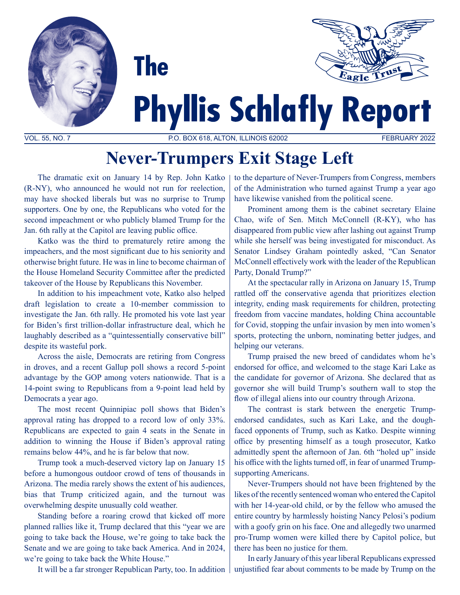



# **Phyllis Schlafly Report**

VOL. 55, NO. 7 P.O. BOX 618, ALTON, ILLINOIS 62002 FEBRUARY 2022

## **Never-Trumpers Exit Stage Left**

The dramatic exit on January 14 by Rep. John Katko (R-NY), who announced he would not run for reelection, may have shocked liberals but was no surprise to Trump supporters. One by one, the Republicans who voted for the second impeachment or who publicly blamed Trump for the Jan. 6th rally at the Capitol are leaving public office.

**The** 

Katko was the third to prematurely retire among the impeachers, and the most significant due to his seniority and otherwise bright future. He was in line to become chairman of the House Homeland Security Committee after the predicted takeover of the House by Republicans this November.

In addition to his impeachment vote, Katko also helped draft legislation to create a 10-member commission to investigate the Jan. 6th rally. He promoted his vote last year for Biden's first trillion-dollar infrastructure deal, which he laughably described as a "quintessentially conservative bill" despite its wasteful pork.

Across the aisle, Democrats are retiring from Congress in droves, and a recent Gallup poll shows a record 5-point advantage by the GOP among voters nationwide. That is a 14-point swing to Republicans from a 9-point lead held by Democrats a year ago.

The most recent Quinnipiac poll shows that Biden's approval rating has dropped to a record low of only 33%. Republicans are expected to gain 4 seats in the Senate in addition to winning the House if Biden's approval rating remains below 44%, and he is far below that now.

Trump took a much-deserved victory lap on January 15 before a humongous outdoor crowd of tens of thousands in Arizona. The media rarely shows the extent of his audiences, bias that Trump criticized again, and the turnout was overwhelming despite unusually cold weather.

Standing before a roaring crowd that kicked off more planned rallies like it, Trump declared that this "year we are going to take back the House, we're going to take back the Senate and we are going to take back America. And in 2024, we're going to take back the White House."

It will be a far stronger Republican Party, too. In addition

to the departure of Never-Trumpers from Congress, members of the Administration who turned against Trump a year ago have likewise vanished from the political scene.

Prominent among them is the cabinet secretary Elaine Chao, wife of Sen. Mitch McConnell (R-KY), who has disappeared from public view after lashing out against Trump while she herself was being investigated for misconduct. As Senator Lindsey Graham pointedly asked, "Can Senator McConnell effectively work with the leader of the Republican Party, Donald Trump?"

At the spectacular rally in Arizona on January 15, Trump rattled off the conservative agenda that prioritizes election integrity, ending mask requirements for children, protecting freedom from vaccine mandates, holding China accountable for Covid, stopping the unfair invasion by men into women's sports, protecting the unborn, nominating better judges, and helping our veterans.

Trump praised the new breed of candidates whom he's endorsed for office, and welcomed to the stage Kari Lake as the candidate for governor of Arizona. She declared that as governor she will build Trump's southern wall to stop the flow of illegal aliens into our country through Arizona.

The contrast is stark between the energetic Trumpendorsed candidates, such as Kari Lake, and the doughfaced opponents of Trump, such as Katko. Despite winning office by presenting himself as a tough prosecutor, Katko admittedly spent the afternoon of Jan. 6th "holed up" inside his office with the lights turned off, in fear of unarmed Trumpsupporting Americans.

Never-Trumpers should not have been frightened by the likes of the recently sentenced woman who entered the Capitol with her 14-year-old child, or by the fellow who amused the entire country by harmlessly hoisting Nancy Pelosi's podium with a goofy grin on his face. One and allegedly two unarmed pro-Trump women were killed there by Capitol police, but there has been no justice for them.

In early January of this year liberal Republicans expressed unjustified fear about comments to be made by Trump on the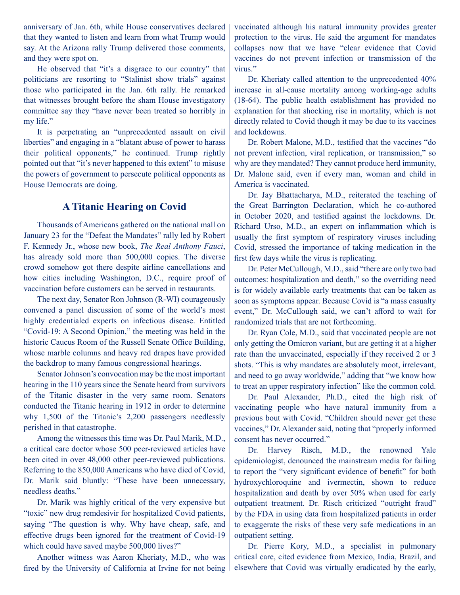anniversary of Jan. 6th, while House conservatives declared that they wanted to listen and learn from what Trump would say. At the Arizona rally Trump delivered those comments, and they were spot on.

He observed that "it's a disgrace to our country" that politicians are resorting to "Stalinist show trials" against those who participated in the Jan. 6th rally. He remarked that witnesses brought before the sham House investigatory committee say they "have never been treated so horribly in my life."

It is perpetrating an "unprecedented assault on civil liberties" and engaging in a "blatant abuse of power to harass their political opponents," he continued. Trump rightly pointed out that "it's never happened to this extent" to misuse the powers of government to persecute political opponents as House Democrats are doing.

#### **A Titanic Hearing on Covid**

Thousands of Americans gathered on the national mall on January 23 for the "Defeat the Mandates" rally led by Robert F. Kennedy Jr., whose new book, *The Real Anthony Fauci*, has already sold more than 500,000 copies. The diverse crowd somehow got there despite airline cancellations and how cities including Washington, D.C., require proof of vaccination before customers can be served in restaurants.

The next day, Senator Ron Johnson (R-WI) courageously convened a panel discussion of some of the world's most highly credentialed experts on infectious disease. Entitled "Covid-19: A Second Opinion," the meeting was held in the historic Caucus Room of the Russell Senate Office Building, whose marble columns and heavy red drapes have provided the backdrop to many famous congressional hearings.

Senator Johnson's convocation may be the most important hearing in the 110 years since the Senate heard from survivors of the Titanic disaster in the very same room. Senators conducted the Titanic hearing in 1912 in order to determine why 1,500 of the Titanic's 2,200 passengers needlessly perished in that catastrophe.

Among the witnesses this time was Dr. Paul Marik, M.D., a critical care doctor whose 500 peer-reviewed articles have been cited in over 48,000 other peer-reviewed publications. Referring to the 850,000 Americans who have died of Covid, Dr. Marik said bluntly: "These have been unnecessary, needless deaths."

Dr. Marik was highly critical of the very expensive but "toxic" new drug remdesivir for hospitalized Covid patients, saying "The question is why. Why have cheap, safe, and effective drugs been ignored for the treatment of Covid-19 which could have saved maybe 500,000 lives?"

Another witness was Aaron Kheriaty, M.D., who was fired by the University of California at Irvine for not being vaccinated although his natural immunity provides greater protection to the virus. He said the argument for mandates collapses now that we have "clear evidence that Covid vaccines do not prevent infection or transmission of the virus."

Dr. Kheriaty called attention to the unprecedented 40% increase in all-cause mortality among working-age adults (18-64). The public health establishment has provided no explanation for that shocking rise in mortality, which is not directly related to Covid though it may be due to its vaccines and lockdowns.

Dr. Robert Malone, M.D., testified that the vaccines "do not prevent infection, viral replication, or transmission," so why are they mandated? They cannot produce herd immunity, Dr. Malone said, even if every man, woman and child in America is vaccinated.

Dr. Jay Bhattacharya, M.D., reiterated the teaching of the Great Barrington Declaration, which he co-authored in October 2020, and testified against the lockdowns. Dr. Richard Urso, M.D., an expert on inflammation which is usually the first symptom of respiratory viruses including Covid, stressed the importance of taking medication in the first few days while the virus is replicating.

Dr. Peter McCullough, M.D., said "there are only two bad outcomes: hospitalization and death," so the overriding need is for widely available early treatments that can be taken as soon as symptoms appear. Because Covid is "a mass casualty event," Dr. McCullough said, we can't afford to wait for randomized trials that are not forthcoming.

Dr. Ryan Cole, M.D., said that vaccinated people are not only getting the Omicron variant, but are getting it at a higher rate than the unvaccinated, especially if they received 2 or 3 shots. "This is why mandates are absolutely moot, irrelevant, and need to go away worldwide," adding that "we know how to treat an upper respiratory infection" like the common cold.

Dr. Paul Alexander, Ph.D., cited the high risk of vaccinating people who have natural immunity from a previous bout with Covid. "Children should never get these vaccines," Dr. Alexander said, noting that "properly informed consent has never occurred."

Dr. Harvey Risch, M.D., the renowned Yale epidemiologist, denounced the mainstream media for failing to report the "very significant evidence of benefit" for both hydroxychloroquine and ivermectin, shown to reduce hospitalization and death by over 50% when used for early outpatient treatment. Dr. Risch criticized "outright fraud" by the FDA in using data from hospitalized patients in order to exaggerate the risks of these very safe medications in an outpatient setting.

Dr. Pierre Kory, M.D., a specialist in pulmonary critical care, cited evidence from Mexico, India, Brazil, and elsewhere that Covid was virtually eradicated by the early,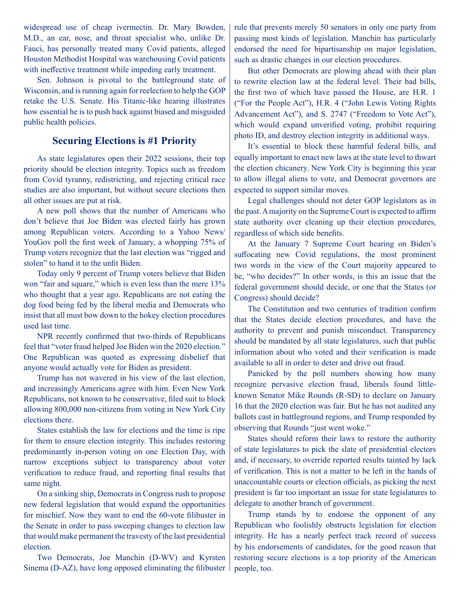widespread use of cheap ivermectin. Dr. Mary Bowden, M.D., an ear, nose, and throat specialist who, unlike Dr. Fauci, has personally treated many Covid patients, alleged Houston Methodist Hospital was warehousing Covid patients with ineffective treatment while impeding early treatment.

Sen. Johnson is pivotal to the battleground state of Wisconsin, and is running again for reelection to help the GOP retake the U.S. Senate. His Titanic-like hearing illustrates how essential he is to push back against biased and misguided public health policies.

#### **Securing Elections is #1 Priority**

As state legislatures open their 2022 sessions, their top priority should be election integrity. Topics such as freedom from Covid tyranny, redistricting, and rejecting critical race studies are also important, but without secure elections then all other issues are put at risk.

A new poll shows that the number of Americans who don't believe that Joe Biden was elected fairly has grown among Republican voters. According to a Yahoo News/ YouGov poll the first week of January, a whopping 75% of Trump voters recognize that the last election was "rigged and stolen" to hand it to the unfit Biden.

Today only 9 percent of Trump voters believe that Biden won "fair and square," which is even less than the mere 13% who thought that a year ago. Republicans are not eating the dog food being fed by the liberal media and Democrats who insist that all must bow down to the hokey election procedures used last time.

NPR recently confirmed that two-thirds of Republicans feel that "voter fraud helped Joe Biden win the 2020 election." One Republican was quoted as expressing disbelief that anyone would actually vote for Biden as president.

Trump has not wavered in his view of the last election, and increasingly Americans agree with him. Even New York Republicans, not known to be conservative, filed suit to block allowing 800,000 non-citizens from voting in New York City elections there.

States establish the law for elections and the time is ripe for them to ensure election integrity. This includes restoring predominantly in-person voting on one Election Day, with narrow exceptions subject to transparency about voter verification to reduce fraud, and reporting final results that same night.

On a sinking ship, Democrats in Congress rush to propose new federal legislation that would expand the opportunities for mischief. Now they want to end the 60-vote filibuster in the Senate in order to pass sweeping changes to election law that would make permanent the travesty of the last presidential election.

Two Democrats, Joe Manchin (D-WV) and Kyrsten Sinema (D-AZ), have long opposed eliminating the filibuster rule that prevents merely 50 senators in only one party from passing most kinds of legislation. Manchin has particularly endorsed the need for bipartisanship on major legislation, such as drastic changes in our election procedures.

But other Democrats are plowing ahead with their plan to rewrite election law at the federal level. Their bad bills, the first two of which have passed the House, are H.R. 1 ("For the People Act"), H.R. 4 ("John Lewis Voting Rights Advancement Act"), and S. 2747 ("Freedom to Vote Act"), which would expand unverified voting, prohibit requiring photo ID, and destroy election integrity in additional ways.

It's essential to block these harmful federal bills, and equally important to enact new laws at the state level to thwart the election chicanery. New York City is beginning this year to allow illegal aliens to vote, and Democrat governors are expected to support similar moves.

Legal challenges should not deter GOP legislators as in the past. A majority on the Supreme Court is expected to affirm state authority over cleaning up their election procedures, regardless of which side benefits.

At the January 7 Supreme Court hearing on Biden's suffocating new Covid regulations, the most prominent two words in the view of the Court majority appeared to be, "who decides?" In other words, is this an issue that the federal government should decide, or one that the States (or Congress) should decide?

The Constitution and two centuries of tradition confirm that the States decide election procedures, and have the authority to prevent and punish misconduct. Transparency should be mandated by all state legislatures, such that public information about who voted and their verification is made available to all in order to deter and drive out fraud.

Panicked by the poll numbers showing how many recognize pervasive election fraud, liberals found littleknown Senator Mike Rounds (R-SD) to declare on January 16 that the 2020 election was fair. But he has not audited any ballots cast in battleground regions, and Trump responded by observing that Rounds "just went woke."

States should reform their laws to restore the authority of state legislatures to pick the slate of presidential electors and, if necessary, to override reported results tainted by lack of verification. This is not a matter to be left in the hands of unaccountable courts or election officials, as picking the next president is far too important an issue for state legislatures to delegate to another branch of government.

Trump stands by to endorse the opponent of any Republican who foolishly obstructs legislation for election integrity. He has a nearly perfect track record of success by his endorsements of candidates, for the good reason that restoring secure elections is a top priority of the American people, too.